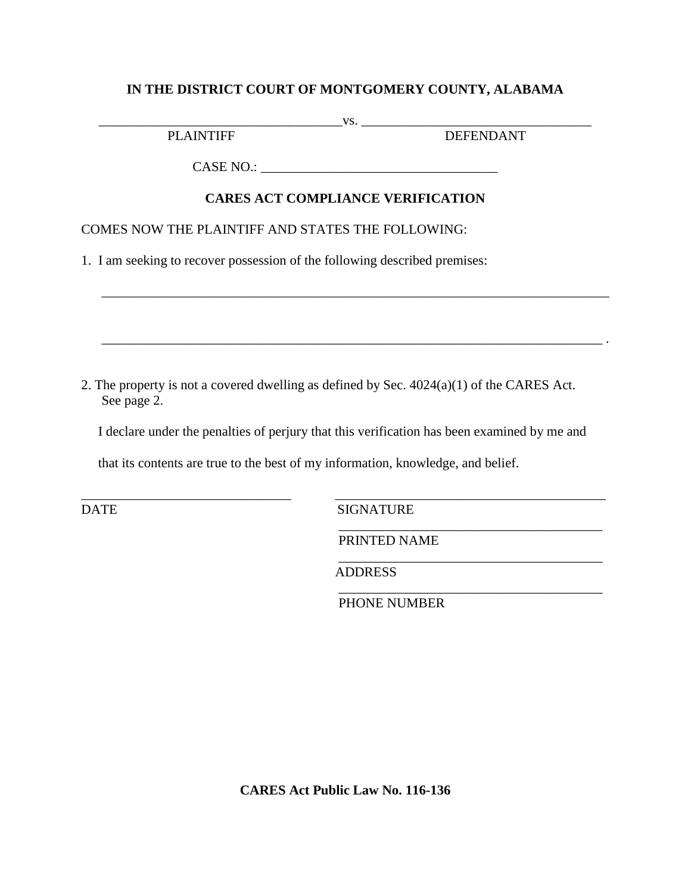### **IN THE DISTRICT COURT OF MONTGOMERY COUNTY, ALABAMA**

\_\_\_\_\_\_\_\_\_\_\_\_\_\_\_\_\_\_\_\_\_\_\_\_\_\_\_\_\_\_\_\_\_\_\_\_vs. \_\_\_\_\_\_\_\_\_\_\_\_\_\_\_\_\_\_\_\_\_\_\_\_\_\_\_\_\_\_\_\_\_\_

PLAINTIFF DEFENDANT

 $\_$  , and the set of the set of the set of the set of the set of the set of the set of the set of the set of the set of the set of the set of the set of the set of the set of the set of the set of the set of the set of th

 $\overline{\phantom{a}}$  , and the set of the set of the set of the set of the set of the set of the set of the set of the set of the set of the set of the set of the set of the set of the set of the set of the set of the set of the s

\_\_\_\_\_\_\_\_\_\_\_\_\_\_\_\_\_\_\_\_\_\_\_\_\_\_\_\_\_\_\_\_\_\_\_\_\_\_\_

CASE NO.: \_\_\_\_\_\_\_\_\_\_\_\_\_\_\_\_\_\_\_\_\_\_\_\_\_\_\_\_\_\_\_\_\_\_\_

# **CARES ACT COMPLIANCE VERIFICATION**

\_\_\_\_\_\_\_\_\_\_\_\_\_\_\_\_\_\_\_\_\_\_\_\_\_\_\_\_\_\_\_\_\_\_\_\_\_\_\_\_\_\_\_\_\_\_\_\_\_\_\_\_\_\_\_\_\_\_\_\_\_\_\_\_\_\_\_\_\_\_\_\_\_\_\_

COMES NOW THE PLAINTIFF AND STATES THE FOLLOWING:

1. I am seeking to recover possession of the following described premises:

2. The property is not a covered dwelling as defined by Sec. 4024(a)(1) of the CARES Act. See page 2.

I declare under the penalties of perjury that this verification has been examined by me and

that its contents are true to the best of my information, knowledge, and belief.

\_\_\_\_\_\_\_\_\_\_\_\_\_\_\_\_\_\_\_\_\_\_\_\_\_\_\_\_\_\_\_ \_\_\_\_\_\_\_\_\_\_\_\_\_\_\_\_\_\_\_\_\_\_\_\_\_\_\_\_\_\_\_\_\_\_\_\_\_\_\_\_ DATE SIGNATURE

PRINTED NAME

ADDRESS

 $\overline{\phantom{a}}$  , which is the set of the set of the set of the set of the set of the set of the set of the set of the set of the set of the set of the set of the set of the set of the set of the set of the set of the set of PHONE NUMBER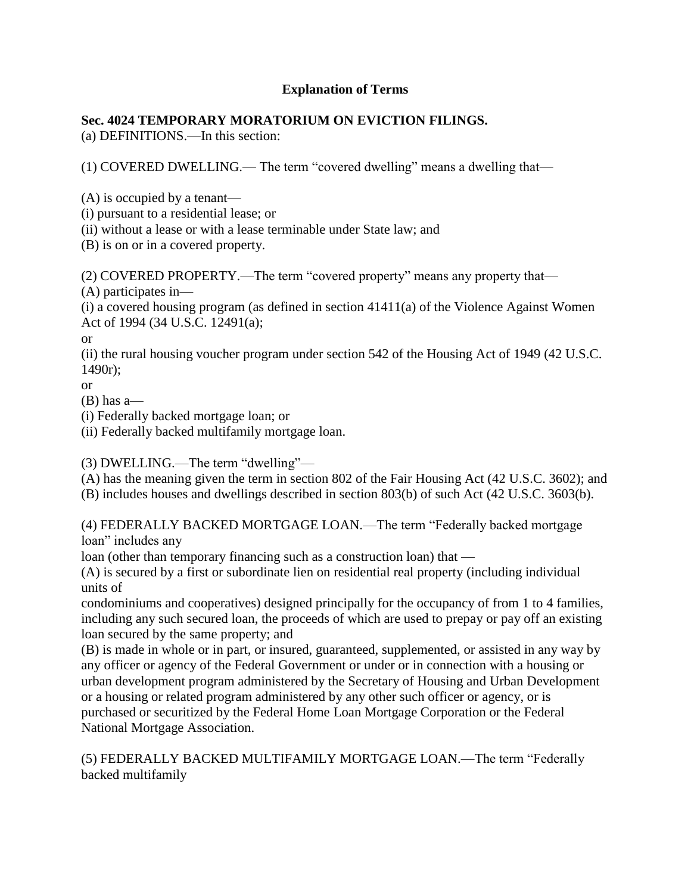## **Explanation of Terms**

# **Sec. 4024 TEMPORARY MORATORIUM ON EVICTION FILINGS.**

(a) DEFINITIONS.—In this section:

(1) COVERED DWELLING.— The term "covered dwelling" means a dwelling that—

(A) is occupied by a tenant—

(i) pursuant to a residential lease; or

(ii) without a lease or with a lease terminable under State law; and

(B) is on or in a covered property.

(2) COVERED PROPERTY.—The term "covered property" means any property that—

(A) participates in—

 $(i)$  a covered housing program (as defined in section 41411 $(a)$  of the Violence Against Women Act of 1994 (34 U.S.C. 12491(a);

or

(ii) the rural housing voucher program under section 542 of the Housing Act of 1949 (42 U.S.C. 1490r);

or

(B) has a—

(i) Federally backed mortgage loan; or

(ii) Federally backed multifamily mortgage loan.

(3) DWELLING.—The term "dwelling"—

(A) has the meaning given the term in section 802 of the Fair Housing Act (42 U.S.C. 3602); and (B) includes houses and dwellings described in section 803(b) of such Act (42 U.S.C. 3603(b).

(4) FEDERALLY BACKED MORTGAGE LOAN.—The term "Federally backed mortgage loan" includes any

loan (other than temporary financing such as a construction loan) that —

(A) is secured by a first or subordinate lien on residential real property (including individual units of

condominiums and cooperatives) designed principally for the occupancy of from 1 to 4 families, including any such secured loan, the proceeds of which are used to prepay or pay off an existing loan secured by the same property; and

(B) is made in whole or in part, or insured, guaranteed, supplemented, or assisted in any way by any officer or agency of the Federal Government or under or in connection with a housing or urban development program administered by the Secretary of Housing and Urban Development or a housing or related program administered by any other such officer or agency, or is purchased or securitized by the Federal Home Loan Mortgage Corporation or the Federal National Mortgage Association.

# (5) FEDERALLY BACKED MULTIFAMILY MORTGAGE LOAN.—The term "Federally backed multifamily